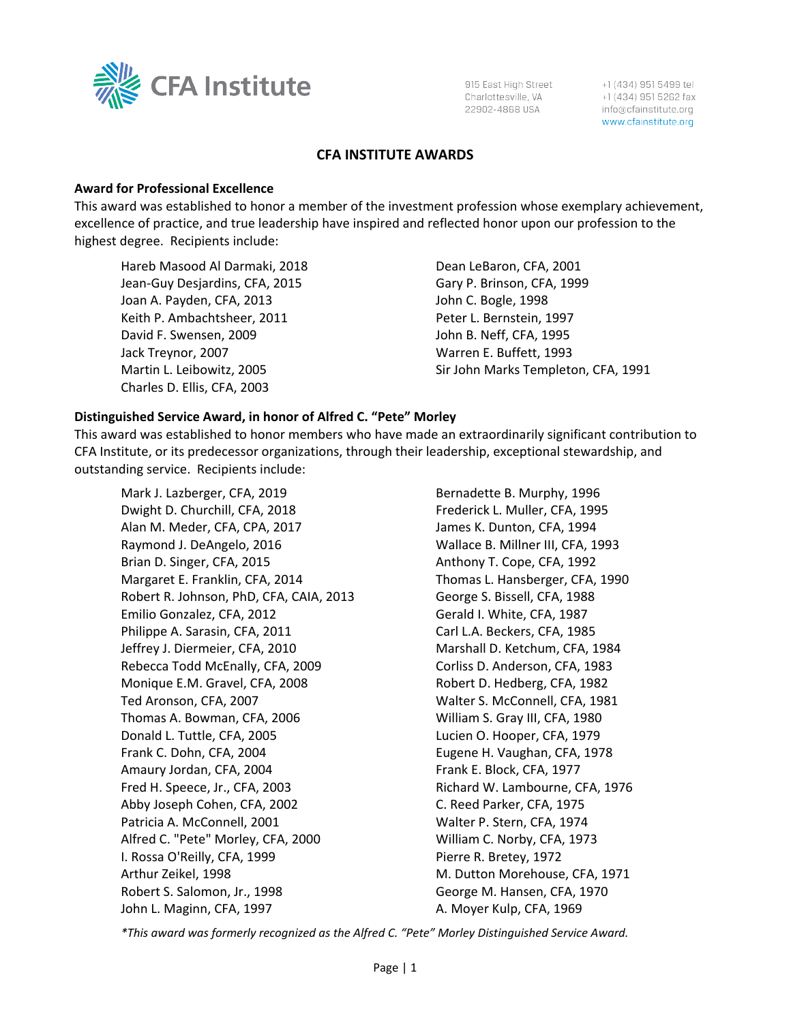

915 East High Street Charlottesville, VA 22902-4868 USA

+1 (434) 951 5499 tel +1 (434) 951 5262 fax info@cfainstitute.org www.cfainstitute.org

### **CFA INSTITUTE AWARDS**

#### **Award for Professional Excellence**

This award was established to honor a member of the investment profession whose exemplary achievement, excellence of practice, and true leadership have inspired and reflected honor upon our profession to the highest degree. Recipients include:

Hareb Masood Al Darmaki, 2018 Jean-Guy Desjardins, CFA, 2015 Joan A. Payden, CFA, 2013 Keith P. Ambachtsheer, 2011 David F. Swensen, 2009 Jack Treynor, 2007 Martin L. Leibowitz, 2005 Charles D. Ellis, CFA, 2003

Dean LeBaron, CFA, 2001 Gary P. Brinson, CFA, 1999 John C. Bogle, 1998 Peter L. Bernstein, 1997 John B. Neff, CFA, 1995 Warren E. Buffett, 1993 Sir John Marks Templeton, CFA, 1991

### **Distinguished Service Award, in honor of Alfred C. "Pete" Morley**

This award was established to honor members who have made an extraordinarily significant contribution to CFA Institute, or its predecessor organizations, through their leadership, exceptional stewardship, and outstanding service. Recipients include:

Mark J. Lazberger, CFA, 2019 Dwight D. Churchill, CFA, 2018 Alan M. Meder, CFA, CPA, 2017 Raymond J. DeAngelo, 2016 Brian D. Singer, CFA, 2015 Margaret E. Franklin, CFA, 2014 Robert R. Johnson, PhD, CFA, CAIA, 2013 Emilio Gonzalez, CFA, 2012 Philippe A. Sarasin, CFA, 2011 Jeffrey J. Diermeier, CFA, 2010 Rebecca Todd McEnally, CFA, 2009 Monique E.M. Gravel, CFA, 2008 Ted Aronson, CFA, 2007 Thomas A. Bowman, CFA, 2006 Donald L. Tuttle, CFA, 2005 Frank C. Dohn, CFA, 2004 Amaury Jordan, CFA, 2004 Fred H. Speece, Jr., CFA, 2003 Abby Joseph Cohen, CFA, 2002 Patricia A. McConnell, 2001 Alfred C. "Pete" Morley, CFA, 2000 I. Rossa O'Reilly, CFA, 1999 Arthur Zeikel, 1998 Robert S. Salomon, Jr., 1998 John L. Maginn, CFA, 1997

Bernadette B. Murphy, 1996 Frederick L. Muller, CFA, 1995 James K. Dunton, CFA, 1994 Wallace B. Millner III, CFA, 1993 Anthony T. Cope, CFA, 1992 Thomas L. Hansberger, CFA, 1990 George S. Bissell, CFA, 1988 Gerald I. White, CFA, 1987 Carl L.A. Beckers, CFA, 1985 Marshall D. Ketchum, CFA, 1984 Corliss D. Anderson, CFA, 1983 Robert D. Hedberg, CFA, 1982 Walter S. McConnell, CFA, 1981 William S. Gray III, CFA, 1980 Lucien O. Hooper, CFA, 1979 Eugene H. Vaughan, CFA, 1978 Frank E. Block, CFA, 1977 Richard W. Lambourne, CFA, 1976 C. Reed Parker, CFA, 1975 Walter P. Stern, CFA, 1974 William C. Norby, CFA, 1973 Pierre R. Bretey, 1972 M. Dutton Morehouse, CFA, 1971 George M. Hansen, CFA, 1970 A. Moyer Kulp, CFA, 1969

*\*This award was formerly recognized as the Alfred C. "Pete" Morley Distinguished Service Award.*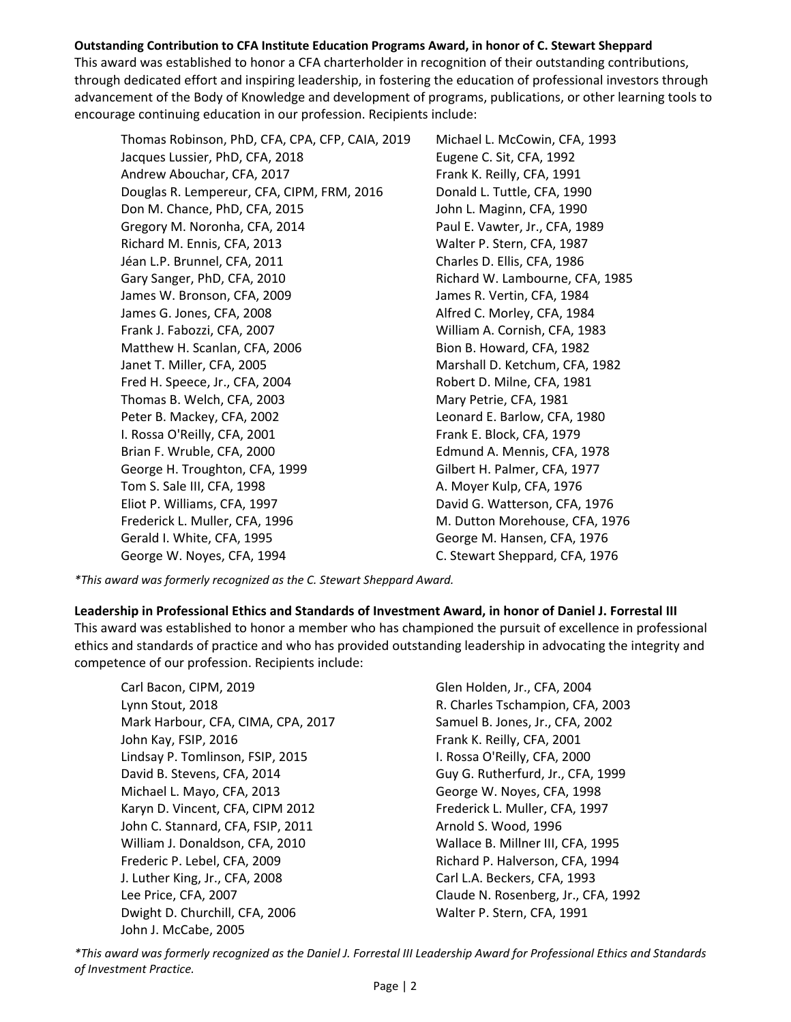# **Outstanding Contribution to CFA Institute Education Programs Award, in honor of C. Stewart Sheppard**

This award was established to honor a CFA charterholder in recognition of their outstanding contributions, through dedicated effort and inspiring leadership, in fostering the education of professional investors through advancement of the Body of Knowledge and development of programs, publications, or other learning tools to encourage continuing education in our profession. Recipients include:

Thomas Robinson, PhD, CFA, CPA, CFP, CAIA, 2019 Jacques Lussier, PhD, CFA, 2018 Andrew Abouchar, CFA, 2017 Douglas R. Lempereur, CFA, CIPM, FRM, 2016 Don M. Chance, PhD, CFA, 2015 Gregory M. Noronha, CFA, 2014 Richard M. Ennis, CFA, 2013 Jéan L.P. Brunnel, CFA, 2011 Gary Sanger, PhD, CFA, 2010 James W. Bronson, CFA, 2009 James G. Jones, CFA, 2008 Frank J. Fabozzi, CFA, 2007 Matthew H. Scanlan, CFA, 2006 Janet T. Miller, CFA, 2005 Fred H. Speece, Jr., CFA, 2004 Thomas B. Welch, CFA, 2003 Peter B. Mackey, CFA, 2002 I. Rossa O'Reilly, CFA, 2001 Brian F. Wruble, CFA, 2000 George H. Troughton, CFA, 1999 Tom S. Sale III, CFA, 1998 Eliot P. Williams, CFA, 1997 Frederick L. Muller, CFA, 1996 Gerald I. White, CFA, 1995 George W. Noyes, CFA, 1994

Michael L. McCowin, CFA, 1993 Eugene C. Sit, CFA, 1992 Frank K. Reilly, CFA, 1991 Donald L. Tuttle, CFA, 1990 John L. Maginn, CFA, 1990 Paul E. Vawter, Jr., CFA, 1989 Walter P. Stern, CFA, 1987 Charles D. Ellis, CFA, 1986 Richard W. Lambourne, CFA, 1985 James R. Vertin, CFA, 1984 Alfred C. Morley, CFA, 1984 William A. Cornish, CFA, 1983 Bion B. Howard, CFA, 1982 Marshall D. Ketchum, CFA, 1982 Robert D. Milne, CFA, 1981 Mary Petrie, CFA, 1981 Leonard E. Barlow, CFA, 1980 Frank E. Block, CFA, 1979 Edmund A. Mennis, CFA, 1978 Gilbert H. Palmer, CFA, 1977 A. Moyer Kulp, CFA, 1976 David G. Watterson, CFA, 1976 M. Dutton Morehouse, CFA, 1976 George M. Hansen, CFA, 1976 C. Stewart Sheppard, CFA, 1976

*\*This award was formerly recognized as the C. Stewart Sheppard Award.*

# **Leadership in Professional Ethics and Standards of Investment Award, in honor of Daniel J. Forrestal III**

This award was established to honor a member who has championed the pursuit of excellence in professional ethics and standards of practice and who has provided outstanding leadership in advocating the integrity and competence of our profession. Recipients include:

Carl Bacon, CIPM, 2019 Lynn Stout, 2018 Mark Harbour, CFA, CIMA, CPA, 2017 John Kay, FSIP, 2016 Lindsay P. Tomlinson, FSIP, 2015 David B. Stevens, CFA, 2014 Michael L. Mayo, CFA, 2013 Karyn D. Vincent, CFA, CIPM 2012 John C. Stannard, CFA, FSIP, 2011 William J. Donaldson, CFA, 2010 Frederic P. Lebel, CFA, 2009 J. Luther King, Jr., CFA, 2008 Lee Price, CFA, 2007 Dwight D. Churchill, CFA, 2006 John J. McCabe, 2005

Glen Holden, Jr., CFA, 2004 R. Charles Tschampion, CFA, 2003 Samuel B. Jones, Jr., CFA, 2002 Frank K. Reilly, CFA, 2001 I. Rossa O'Reilly, CFA, 2000 Guy G. Rutherfurd, Jr., CFA, 1999 George W. Noyes, CFA, 1998 Frederick L. Muller, CFA, 1997 Arnold S. Wood, 1996 Wallace B. Millner III, CFA, 1995 Richard P. Halverson, CFA, 1994 Carl L.A. Beckers, CFA, 1993 Claude N. Rosenberg, Jr., CFA, 1992 Walter P. Stern, CFA, 1991

*\*This award was formerly recognized as the Daniel J. Forrestal III Leadership Award for Professional Ethics and Standards of Investment Practice.*